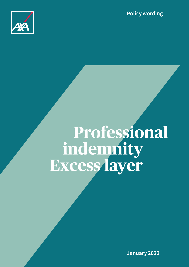**Policy wording**



# **Professional indemnity Excess layer**

**January 2022**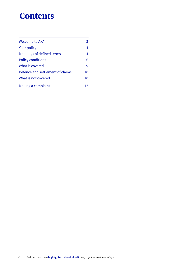# **Contents**

| Welcome to AXA                   | 3  |
|----------------------------------|----|
| Your policy                      | 4  |
| Meanings of defined terms        | 4  |
| <b>Policy conditions</b>         | 6  |
| What is covered                  | 9  |
| Defence and settlement of claims | 10 |
| What is not covered              | 10 |
| Making a complaint               | כו |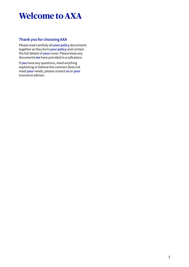# **Welcome to AXA**

# **Thank you for choosing AXA**

Please read carefully all **your policy** documents together as they form **your policy** and contain the full details of **your** cover. Please keep any documents **we** have provided in a safe place.

If **you** have any questions, need anything explaining or believe this contract does not meet **your** needs, please contact **us** or **your** insurance adviser.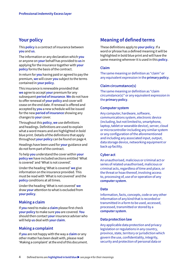# **Your policy**

This **policy** is a contract of insurance between **you** and **us**.

The information or any declaration which **you** or anyone on **your** behalf has provided to **us** in applying for the insurance together with **your policy** forms the basis of the contract.

In return for **you** having paid or agreed to pay the premium, **we** will cover **you** subject to the terms contained in **your policy**.

This insurance is renewable provided that **we** agree to accept **your** premium for any subsequent **period of insurance**. **We** do not have to offer renewal of **your policy** and cover will cease on the end date. If renewal is offered and accepted by **you** a new schedule will be issued for the new **period of insurance** showing any changes to **your** cover.

Throughout this **policy**, **we** use definitions and headings. Definitions are used to explain what a word means and are highlighted in bold blue print. Details of the definitions that apply throughout **your policy** can be found on page 4.

Headings have been used for **your** guidance and do not form part of the contract.

To help **you** understand the cover within **your policy we** have included sections entitled 'What is covered' and 'What is not covered'.

Under the heading 'What is covered' **we** give information on the insurance provided. This must be read with 'What is not covered' and the **policy** conditions at all times.

Under the heading 'What is not covered' **we** draw **your** attention to what is excluded from **your policy**.

# **Making a claim**

If **you** need to make a **claim** please first check **your policy** to make sure **you** are covered. **You** should then contact **your** insurance adviser who will help **us** deal with **your claim**.

# **Making a complaint**

If **you** are not happy with the way a **claim** or any other matter has been dealt with, please read 'Making a complaint' at the end of this document.

# **Meaning of defined terms**

These definitions apply to **your policy**. If a word or phrase has a defined meaning it will be highlighted in bold blue print and will have the same meaning wherever it is used in this **policy**.

# **Claim**

The same meaning or definition as "claim" or any equivalent expression in the **primary policy**.

# **Claim circumstance(s)**

The same meaning or definition as "claim circumstance(s)" or any equivalent expression in the **primary policy**.

# **Computer system**

Any computer, hardware, software, communications system, electronic device (including, but not limited to, smartphone, laptop, tablet or wearable device), server, cloud or microcontroller including any similar system or any configuration of the aforementioned and including any associated input, output, data storage device, networking equipment or back up facility.

# **Cyber act**

An unauthorised, malicious or criminal act or series of related unauthorised, malicious or criminal acts, regardless of time and place, or the threat or hoax thereof, involving access to, processing of, use of or operation of any **computer system**.

# **Data**

Information, facts, concepts, code or any other information of any kind that is recorded or transmitted in a form to be used, accessed, processed, transmitted or stored by a **computer system**.

# **Data protection law**

Any applicable data protection and privacy legislation or regulations in any country, province, state, territory or jurisdiction which govern the use, confidentiality, integrity, security and protection of personal data or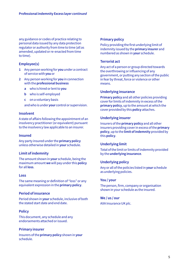any guidance or codes of practice relating to personal data issued by any data protection regulator or authority from time to time (all as amended, updated or re-enacted from time to time).

# **Employee(s)**

- **1** Any person working for **you** under a contract of service with **you** or
- **2** Any person working for **you** in connection with the **professional business**
	- **a** who is hired or lent to **you**
	- **b** who is self-employed
	- **c** on a voluntary basis

andwho is under **your** control or supervision.

# **Insolvent**

A state of affairs following the appointment of an insolvency practitioner (or equivalent) pursuant to the insolvency law applicable to an insurer.

# **Insured**

Any party insured under the **primary policy** unless otherwise detailed in **your** schedule.

# **Limit of indemnity**

The amount shown in **your** schedule, being the maximum amount **we** will pay under this **policy** for all **loss**.

#### **Loss**

The same meaning or definition of "loss" or any equivalent expression in the **primary policy**.

# **Period of insurance**

Period shown in **your** schedule, inclusive of both the stated start date and end date.

# **Policy**

This document, any schedule and any endorsements attached or issued.

# **Primary insurer**

Insurers of the **primary policy** shown in **your** schedule.

# **Primary policy**

Policy providing the first underlying limit of indemnity issued by the **primary insurer** and numbered as shown in **your** schedule.

# **Terrorist act**

Any act of a person or group directed towards the overthrowing or influencing of any government, or putting any section of the public in fear by threat, force or violence or other means.

# **Underlying insurance**

**Primary policy** and all other policies providing cover for limits of indemnity in excess of the **primary policy**, up to the amount at which the cover provided by this **policy** attaches.

# **Underlying insurer**

Insurers of the **primary policy** and all other insurers providing cover in excess of the **primary policy**, up to the **limit of indemnity** provided by this **policy**.

# **Underlying limit**

Total of the limit or limits of indemnity provided by the **underlying insurance**.

# **Underlying policy**

Any or all of the policies listed in **your** schedule as underlying policies.

# **You / your**

The person, firm, company or organisation shown in your schedule as the insured.

# **We / us / our**

AXA Insurance UK plc.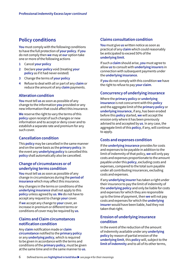# **Policy conditions**

**You** must comply with the following conditions to have the full protection of **your policy**. If **you** do not comply then **we** may at **our** option take one or more of the following actions

- **1** Cancel **your policy**
- **2** Declare **your policy** void (treating **your policy** as if it had never existed)
- **3** Change the terms of **your policy**
- **4** Refuse to deal with all or part of any **claim** or reduce the amount of any **claim** payments.

# **Alteration condition**

**You** must tell **us** as soon as possible of any change to the information **you** provided or any new information that could affect this insurance.

**We** reserve the right to vary the terms of this **policy** upon receipt of such changes or new information and to accept or deny cover and to establish a separate rate and premium for any such cover.

# **Cancellation condition**

This **policy** may be cancelled in the same manner and on the same basis as the **primary policy**. In the event any **underlying policy** is cancelled this **policy** shall automatically also be cancelled.

# **Change of circumstances or of underlying terms condition**

**You** must tell **us** as soon as possible of any change in circumstances during the **period of insurance** which may affect this insurance.

Any changes in the terms or conditions of the **underlying insurance** shall not apply to this **policy** unless agreed by **us**. **We** do not have to accept any request to change **your** cover.

If **we** accept any change to **your** cover, an increase in premium or different terms or conditions of cover may be required by **us**.

# **Claims and Claim circumstances notification condition**

Any **claim** notification made or **claim circumstance** notified to the **primary policy**  or any **underlying policy**, which is required to be given in accordance with the terms and conditions of the **primary policy**, must be given at the same time and in the same manner to **us**.

# **Claims consultation condition**

**You** must give **us** written notice as soon as practical of any **claim** which could reasonably be anticipated to exceed 50% of the **underlying limit**.

If such a **claim** should arise, **you** must agree to allow **us** to consult with **underlying insurers** in connection with subsequent payments under the **underlying insurance**.

If **you** do not comply with this condition **we** have the right to refuse to pay **your claim**.

# **Concurrency of underlying insurance**

Where the **primary policy** or **underlying insurance** is not concurrent with this **policy** and the aggregate limit of the **primary policy** or **underlying insurance**, if any, has been eroded before this **policy** started, **we** will accept the erosion only where it has been previously advised to and accepted by **us**. In any case, the aggregate limit of this **policy**, if any, will continue to apply.

# **Costs and expenses condition**

If the **underlying insurance** provides for costs and expenses to be payable in addition to the limit of indemnity of that policy, **we** will only pay costs and expenses proportionate to the amount payable under this **policy**, excluding costs and expenses, compared to the total sum payable under all contributing insurances, excluding costs and expenses.

If any **underlying insurer** has taken a right under their insurance to pay the limit of indemnity of the **underlying policy** and only be liable for costs and expenses for which they are responsible up to the time of payment, then **we** will not pay costs and expenses for which the **underlying insurer** would have been liable, had they not taken that right.

# **Erosion of underlying insurance condition**

In the event of the reduction of the amount of indemnity available under any **underlying policy** by reason of partial erosion of the **underlying limit**, this **policy** will, subject to the **limit of indemnity** and to all of its other terms,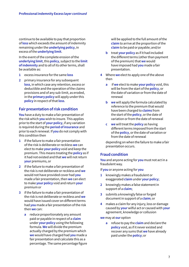continue to be available to pay that proportion of **loss** which exceeds the amount of indemnity remaining under the **underlying policy**, in excess of the **underlying limit**.

In the event of the complete erosion of the **underlying limit**, this **policy**, subject to the **limit of indemnity** and to all of its other terms, shall be available as:

- **1** excess insurance for the same **loss**
- **2** primary insurance for any subsequent **loss**, in which case any retention, excess or deductible and the operation of the claims provisions and of any sub-limit, as eroded, in the **primary policy** will apply under this **policy** in respect of that **loss**.

# **Fair presentation of risk condition**

**You** have a duty to make a fair presentation of the risk which **you** wish to insure. This applies prior to the start of **your policy**, if any variation is required during the **period of insurance** and prior to each renewal. If **you** do not comply with this condition then

- **1** if the failure to make a fair presentation of the risk is deliberate or reckless **we** can elect to make **your policy** void and keep the premium. This means treating the **policy** as if it had not existed and that **we** will not return **your** premiums, or
- **2** if the failure to make a fair presentation of the risk is not deliberate or reckless and **we** would not have provided cover had **you** made a fair presentation, then **we** can elect to make **your policy** void and return **your** premium or
- **3** if the failure to make a fair presentation of the risk is not deliberate or reckless and **we** would have issued cover on different terms had **you** made a fair presentation of the risk then **we** can:
	- **a** reduce proportionately any amount paid or payable in respect of a **claim** under **your policy** using the following formula. **We** will divide the premium actually charged by the premium which **we** would have charged had **you** made a fair presentation and calculate this as a percentage. The same percentage figure

will be applied to the full amount of the **claim** to arrive at the proportion of the **claim** to be paid or payable; and/or

- **b** treat **your policy** as if it had included the different terms (other than payment of the premium) that **we** would have imposed had **you** made a fair presentation.
- **4** Where **we** elect to apply one of the above then
	- **a** if **we** elect to make **your policy** void, this will be from the start of the **policy**, or the date of variation or from the date of renewal
	- **b we** will apply the formula calculated by reference to the premium that would have been charged to **claims** from the start of the **policy**, or the date of variation or from the date of renewal
	- **c we** will treat the **policy** as having different terms imposed from the start of the **policy**, or the date of variation or from the date of renewal

depending on when the failure to make a fair presentation occurs.

# **Fraud condition**

**You** and anyone acting for **you** must not act in a fraudulent way.

If **you** or anyone acting for **you**

- **1** knowingly makes a fraudulent or exaggerated **claim** under **your policy**;
- **2** knowingly makes a false statement in support of a **claim**;
- **3** submits a knowingly false or forged document in support of a **claim**; or
- **4** makes a claim for any injury, loss or damage caused by **your** wilful act or caused with **your** agreement, knowledge or collusion

**we** may at **our** option

**a** refuse to pay the **claim** and declare the **policy** void, as if it never existed and recover any sums that **we** have already paid under the **policy**; or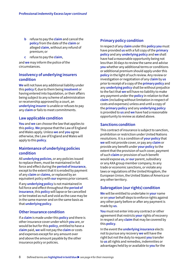- **b** refuse to pay the **claim** and cancel the **policy** from the date of the **claim** or alleged **claim**, without any refund of premium; or
- **c** refuse to pay the **claim**,

and **we** may inform the police of the circumstances.

# **Insolvency of underlying insurers condition**

**We** will not have any additional liability under this **policy** if, due to them being **insolvent** or having entered into liquidation, or their affairs being subject to any scheme of administration or receivership approved by a court, an **underlying insurer** is unable or refuses to pay any **claim** or fails to meet commitments.

# **Law applicable condition**

**You** and **we** can choose the law that applies to this **policy**. **We** propose that the Law of England and Wales apply. Unless **we** and **you** agree otherwise, the Law of England and Wales will apply to this **policy**.

# **Maintenance of underlying policies condition**

All **underlying policies**, or any policies issued to replace them, must be maintained in full force and effect during the **period of insurance**, except to the extent that it is eroded by payment of any **claim** or **claims**, or replaced by an equivalent policy with **our** express prior consent.

If any **underlying policy** is not maintained in full force and effect throughout the **period of insurance**, this **policy** will lapse or be cancelled or be treated as null and void as the case may be in the same manner and on the same basis as that **underlying policy**.

# **Other insurance condition**

If a **claim** is made under this **policy** and there is other insurance cover under which **you** are, or would be but for this **policy**, entitled to have a **claim** paid, **we** will not pay the **claim** or costs and expenses except for any amount over and above the amount payable by the other insurance policy or policies.

# **Primary policy condition**

In respect of any **claim** under this **policy you** must have provided **us** with a full copy of the **primary policy** and any **underlying policy** and **we** shall have had a reasonable opportunity being not less than 30 days to review the same and advise **you** whether any additional terms or conditions or additional premium should apply under this **policy** in the light of such review. Any review or investigation or negotiation of any c**laim** by **us**  prior to receipt of a copy of the **primary policy** and any **underlying policy** shall be without prejudice to the fact that **we** will have no liability to make any payment under the **policy** in relation to that **claim** (including without limitation in respect of costs and expenses) unless and until a copy of the **primary policy** and any **underlying policy**  is provided to **us** and **we** have had a reasonable opportunity to review as stated above.

# **Sanctions condition**

This contract of insurance is subject to sanction, prohibition or restriction under United Nations resolutions. It is a condition of **your policy** that **we** will not provide cover, or pay any **claim** or provide any benefit under **your policy** to the extent that the provision of such cover, payment of such **claim** or provision of such benefit would expose **us,** or **our** parent, subsidiary or any AXA group member company, to any trade or economic sanctions, or violate any laws or regulations of the United Kingdom, the European Union, the United States of America or any other territory.

# **Subrogation (our rights) condition**

**We** will be entitled to undertake in **your** name or on **your** behalf steps to enforce rights against any other party before or after any payment is made by **us**.

**You** must not enter into any contract or other agreement that restricts **your** rights of recovery in respect of any **claim** that may be covered by this **policy**.

In the event the **underlying insurance** elects not to pursue any recovery **we** will have the right but not the duty to request **you** transfer to **us** all rights and remedies, indemnities or advantages held by or available to **you** for the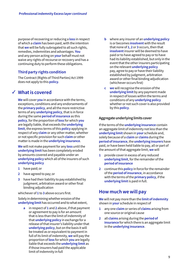purpose of recovering or reducing a **loss** in respect of which a **claim** has been paid, with the intention that **we** will be fully subrogated to all such rights, remedies, indemnities and advantages. **You** and any person acting on **your** behalf must not waive any rights of recourse or recovery and has a continuing duty to perform these obligations.

# **Third party rights condition**

The Contract (Rights of Third Parties) Act 1999 does not apply to this **policy.**

# **What is covered** ✓

**We** will cover **you** in accordance with the terms, exceptions, conditions and any endorsements of the **primary policy**, and all the more restrictive terms of any **underlying policy**, that is in force during the same **period of insurance** as this **policy**, for the proportion of **loss** for which **you**  are legally liable, that exceeds the **underlying limit**, the express terms of this **policy** applying in respect of any **claim** or any other matter, whether or not specific provision for such **claim** or other matter is made in the **underlying insurance**.

**We** will not make payment for any **loss** until the **underlying limit** has been completely eroded by amounts covered and payable under an **underlying policy** which all of the insurers of such **underlying policy** 

- **1** have paid; or
- **2** have agreed to pay; or
- **3** have had their liability to pay established by judgment, arbitration award or other final binding adjudication

whichever of **1** to **3** above occurs first.

Solely in determining whether erosion of the **underlying limit** has occurred and to what extent,

**a** in respect of **1** and **2** above, if that payment or agreement to pay is for an amount that is less than the limit of indemnity of that **underlying policy** in exchange for a release of that insurer's liability under that **underlying policy**, but on the basis it will be treated as or equivalent to payment in full of its limit of indemnity, **we** will pay the proportion of **loss** for which **you** are legally liable that exceeds the **underlying limit** as if those insurers had paid the applicable limit of indemnity in full

- **b** where any insurer of an **underlying policy** is or becomes **insolvent** with the result that none of **1**, **2** or **3** occurs, then that **insolvent** insurer will be deemed to have paid or to have agreed to pay or to have had its liability established, but only in the event that the other insurers participating on the relevant **underlying policy** pay, agree to pay or have their liability established by judgment, arbitration award or other final binding adjudication (whichever occurs first)
- **c we** will recognise the erosion of the **underlying limit** by any payment made in respect of losses within the terms and conditions of any **underlying policy** whether or not such cover is also provided by this **policy**.

# **Aggregate underlying limits cover**

If the terms of the **underlying insurance** contain an aggregate limit of indemnity not less than the **underlying limit** shown in **your** schedule and, solely because of a **claim** or **claims** during the **period of insurance**, the **underlying insurers** have paid, or have been held liable to pay, all or part of the amount of that aggregate limit, **we** will

- **1** provide cover in excess of any reduced **underlying limit**, for the remainder of the **period of insurance**
- **2** continue this **policy** in force for the remainder of the **period of insurance**, in accordance with the terms of the **primary policy**, if the **underlying limit** is paid in full.

# **How much we will pay**

**We** will not pay more than the **limit of indemnity**  shown in **your** schedule in respect of

- **1** any one **claim** or series of **claims** arising from one source or original cause
- **2** all **claims** arising during the **period of insurance** for which there is an aggregate limit in the **underlying insurance**.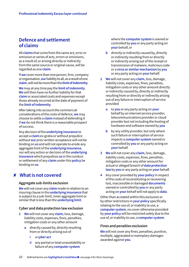# **Defence and settlement of claims**

All **claims** that come from the same act, error or omission or series of acts, errors or omissions, as a result of, or arising directly or indirectly from the same source or original cause, will be regarded as one **claim**.

If **we** cover more than one person, firm, company or organisation, **our** liability to all, as a result of one **claim**, will not be more than the **limit of indemnity**.

**We** may at any time pay the **limit of indemnity**. **We** will then have no further liability for that **claim** or associated costs and expenses except those already incurred at the date of payment of the **limit of indemnity**.

After taking into account the commercial considerations of the costs of defence, **we** may choose to settle a **claim** instead of defending it if **we** do not think there is a reasonable prospect of success.

Any decision of the **underlying insurance** to accept a **claim** ex-gratia or without prejudice without **our** prior written acceptance will not be binding on **us** and will not operate to erode any aggregate limit of the **underlying insurance**, nor will any action or decision of the **underlying insurance** which prejudices **us** in the conduct or settlement of any **claim** under this **policy** be binding on **us**.

# **What is not covered** ✘

# **Aggregate sub-limits exclusion**

**We** will not cover any **claim** made in relation to an insuring clause in the **underlying insurance** that is subject to a sub-limit, inner aggregate limit or similar that is less than the **underlying limit**.

# **Cyber and data protection law exclusion**

- **1 We** will not cover any **claim**, loss, damage, liability costs, expenses, fines, penalties, mitigation costs or any other amount
	- **a** directly caused by, directly resulting from or directly arising out of
		- **i** a **cyber act**
		- **ii** any partial or total unavailability or failure of any **computer system**

where the **computer system** is owned or controlled by **you** or any party acting on **your** behalf, or

- **b** directly or indirectly caused by, directly or indirectly resulting from or directly or indirectly arising out of the receipt or transmission of malware, malicious code or a **virus or similar mechanism** by **you** or any party acting on **your** behalf.
- **2 We** will not cover any **claim**, loss, damage, liability costs, expenses, fines, penalties, mitigation costs or any other amount directly or indirectly caused by, directly or indirectly resulting from or directly or indirectly arising out of any failure or interruption of service provided
	- **a** to **you** or any party acting on **your** behalf by an internet service provider, telecommunications provider or cloud provider but not including the hosting of hardware and software owned by **you**
	- **b** by any utility provider, but only where such failure or interruption of service impacts a **computer system** owned or controlled by **you** or any party acting on **your** behalf.
- **3 We** will not cover any **claim**, loss, damage, liability costs, expenses, fines, penalties, mitigation costs or any other amount for actual or alleged breach of **data protection law** by **you** or any party acting on **your** behalf.
- **4** Any cover provided by **your policy** in respect of the costs of reconstituting or recovering lost, inaccessible or damaged **documents** owned or controlled by **you** or any party acting on **your** behalf will not apply to **data**.

Other than as stated within this exclusion or by other restrictions in **your policy** specifically relating to the use of, or inability to use, a **computer system**, no cover otherwise provided by **your policy** will be restricted solely due to the use of, or inability to use, a **computer system**.

# **Fines and penalties exclusion**

**We** will not cover any fines, penalties, punitive, multiple, aggravated or exemplary damages awarded against **you**.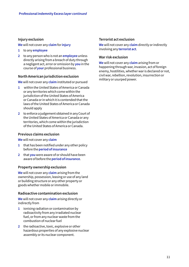# **Injury exclusion**

**We** will not cover any **claim** for **injury**

- **1** to any **employee**
- **2** to any person who is not an **employee** unless directly arising from a breach of duty through a negligent act, error or omission by **you** in the course of **your** professional business.

# **North American jurisdiction exclusion**

**We** will not cover any **claim** instituted or pursued

- **1** within the United States of America or Canada or any territories which come within the jurisdiction of the United States of America or Canada or in which it is contended that the laws of the United States of America or Canada should apply
- **2** to enforce a judgement obtained in any Court of the United States of America or Canada or any territories, which come within the jurisdiction of the United States of America or Canada.

# **Previous claims exclusion**

**We** will not cover any **claim**

- **1** that has been notified under any other policy before the **period of insurance**
- **2** that **you** were aware of or should have been aware of before the **period of insurance**.

# **Property ownership exclusion**

**We** will not cover any **claim** arising from the ownership, possession, leasing or use of any land or building structure or any other property or goods whether mobile or immobile.

# **Radioactive contamination exclusion**

**We** will not cover any **claim** arising directly or indirectly from

- **1** ionising radiation or contamination by radioactivity from any irradiated nuclear fuel, or from any nuclear waste from the combustion of nuclear fuel
- **2** the radioactive, toxic, explosive or other hazardous properties of any explosive nuclear assembly or its nuclear component.

# **Terrorist act exclusion**

**We** will not cover any **claim** directly or indirectly involving any **terrorist act**.

#### **War risk exclusion**

**We** will not cover any **claim** arising from or happening through war, invasion, act of foreign enemy, hostilities, whether war is declared or not, civil war, rebellion, revolution, insurrection or military or usurped power.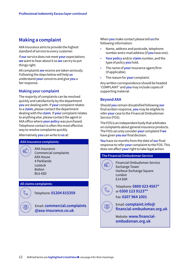# **Making a complaint**

AXA Insurance aims to provide the highest standard of service to every customer.

If **our** service does not meet **your** expectations **we** want to hear about it so **we** can try to put things right.

All complaints **we** receive are taken seriously. Following the steps below will help **us** understand **your** concerns and give **you** a fair response.

# **Making your complaint**

The majority of complaints can be resolved quickly and satisfactorily by the department **you** are dealing with. If **your** complaint relates to a **claim**, please contact the department dealing with the **claim**. If **your** complaint relates to anything else, please contact the agent or AXA office where **your policy** was purchased. Telephone contact is often the most effective way to resolve complaints quickly.

Alternatively **you** can write to **us** at:

#### **AXA Insurance complaints:**

包

 $\mathbb{C}$ 

图

 AXA Insurance Commercial complaints AXA House 4 Parklands Lostock Bolton BL6 4SD

# **All claims complaints:**

Telephone: **01204 815359**

 Email: **[commercial.complaints](mailto:commercial.complaints%40axa-insurance.co.uk?subject=)  [@axa-insurance.co.uk](mailto:commercial.complaints%40axa-insurance.co.uk?subject=)**

When **you** make contact please tell **us** the following information:

- Name, address and postcode, telephone number and e-mail address (if **you** have one).
- **Your policy** and/or **claim** number, and the type of policy **you** hold.
- The name of **your** insurance agent/firm (if applicable).
- The reason for **your** complaint.

Any written correspondence should be headed 'COMPLAINT' and **you** may include copies of supporting material.

# **Beyond AXA**

Should **you** remain dissatisfied following **our** final written response, **you** may be eligible to refer **your** case to the Financial Ombudsman Service (FOS).

The FOS is an independent body that arbitrates on complaints about general insurance products. The FOS can only consider **your** complaint if **we** have given **youour** final decision.

**You** have six months from the date of **our** final response to refer **your** complaint to the FOS. This does not affect **your** right to take legal action.

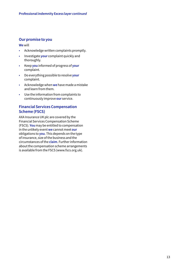# **Our promise to you**

**We** will

- Acknowledge written complaints promptly.
- Investigate **your** complaint quickly and thoroughly.
- Keep **you** informed of progress of **your** complaint.
- Do everything possible to resolve **your** complaint.
- Acknowledge when **we** have made a mistake and learn from them.
- Use the information from complaints to continuously improve **our** service.

# **Financial Services Compensation Scheme (FSCS)**

AXA Insurance UK plc are covered by the Financial Services Compensation Scheme (FSCS). **You** may be entitled to compensation in the unlikely event **we** cannot meet **our** obligations to **you**. This depends on the type of insurance, size of the business and the circumstances of the **claim**. Further information about the compensation scheme arrangements is available from the FSCS ([www.fscs.org.uk](http://www.fscs.org.uk)).